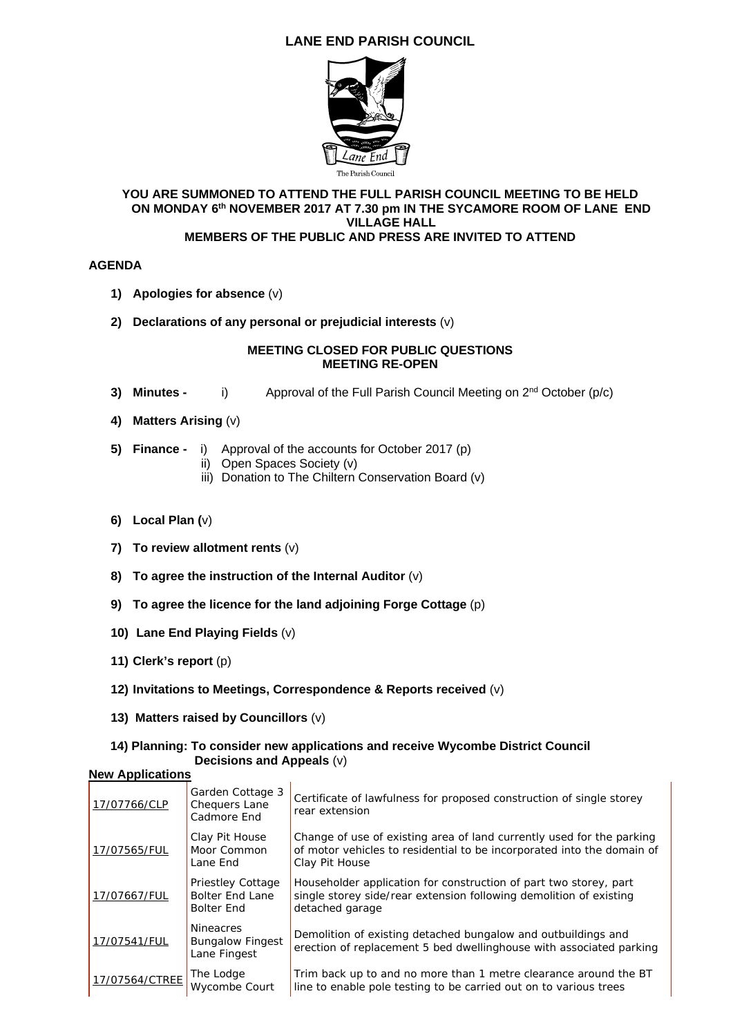# **LANE END PARISH COUNCIL**



#### **YOU ARE SUMMONED TO ATTEND THE FULL PARISH COUNCIL MEETING TO BE HELD ON MONDAY 6th NOVEMBER 2017 AT 7.30 pm IN THE SYCAMORE ROOM OF LANE END VILLAGE HALL MEMBERS OF THE PUBLIC AND PRESS ARE INVITED TO ATTEND**

### **AGENDA**

- **1) Apologies for absence** (v)
- **2) Declarations of any personal or prejudicial interests** (v)

#### **MEETING CLOSED FOR PUBLIC QUESTIONS MEETING RE-OPEN**

- **3) Minutes -** i) Approval of the Full Parish Council Meeting on 2<sup>nd</sup> October (p/c)
- **4) Matters Arising** (v)
- **5) Finance** i) Approval of the accounts for October 2017 (p)
	- ii) Open Spaces Society (v)
	- iii) Donation to The Chiltern Conservation Board (v)
- **6) Local Plan (**v)
- **7) To review allotment rents** (v)
- **8) To agree the instruction of the Internal Auditor** (v)
- **9) To agree the licence for the land adjoining Forge Cottage** (p)
- **10) Lane End Playing Fields** (v)
- **11) Clerk's report** (p)
- **12) Invitations to Meetings, Correspondence & Reports received** (v)
- **13) Matters raised by Councillors** (v)

#### **14) Planning: To consider new applications and receive Wycombe District Council Decisions and Appeals** (v) **New Applications**

| 17/07766/CLP   | Garden Cottage 3<br><b>Chequers Lane</b><br>Cadmore End                 | Certificate of lawfulness for proposed construction of single storey<br>rear extension                                                                            |
|----------------|-------------------------------------------------------------------------|-------------------------------------------------------------------------------------------------------------------------------------------------------------------|
| 17/07565/FUL   | Clay Pit House<br>Moor Common<br>Lane End                               | Change of use of existing area of land currently used for the parking<br>of motor vehicles to residential to be incorporated into the domain of<br>Clay Pit House |
| 17/07667/FUL   | <b>Priestley Cottage</b><br><b>Bolter End Lane</b><br><b>Bolter End</b> | Householder application for construction of part two storey, part<br>single storey side/rear extension following demolition of existing<br>detached garage        |
| 17/07541/FUL   | <b>Nineacres</b><br><b>Bungalow Fingest</b><br>Lane Fingest             | Demolition of existing detached bungalow and outbuildings and<br>erection of replacement 5 bed dwellinghouse with associated parking                              |
| 17/07564/CTREE | The Lodge<br>Wycombe Court                                              | Trim back up to and no more than 1 metre clearance around the BT<br>line to enable pole testing to be carried out on to various trees                             |